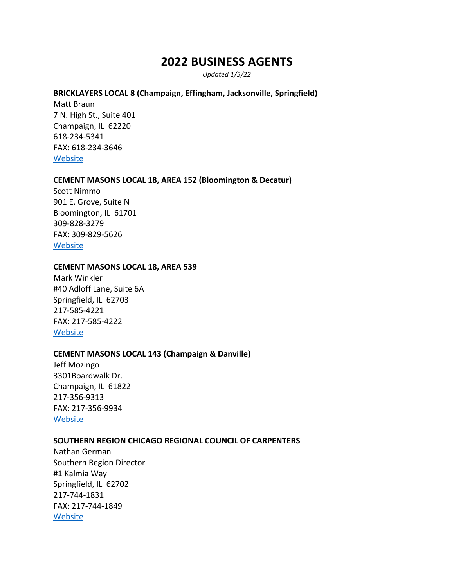# **2022 BUSINESS AGENTS**

*Updated 1/5/22*

#### **BRICKLAYERS LOCAL 8 (Champaign, Effingham, Jacksonville, Springfield)**

Matt Braun 7 N. High St., Suite 401 Champaign, IL 62220 618-234-5341 FAX: 618-234-3646 [Website](https://bac8il.com/)

#### **CEMENT MASONS LOCAL 18, AREA 152 (Bloomington & Decatur)**

Scott Nimmo 901 E. Grove, Suite N Bloomington, IL 61701 309-828-3279 FAX: 309-829-5626 [Website](https://www.opcmia.org/)

#### **CEMENT MASONS LOCAL 18, AREA 539**

Mark Winkler #40 Adloff Lane, Suite 6A Springfield, IL 62703 217-585-4221 FAX: 217-585-4222 **[Website](https://www.opcmia.org/)** 

#### **CEMENT MASONS LOCAL 143 (Champaign & Danville)**

Jeff Mozingo 3301Boardwalk Dr. Champaign, IL 61822 217-356-9313 FAX: 217-356-9934 **[Website](https://www.opcmia.org/)** 

#### **SOUTHERN REGION CHICAGO REGIONAL COUNCIL OF CARPENTERS**

Nathan German Southern Region Director #1 Kalmia Way Springfield, IL 62702 217-744-1831 FAX: 217-744-1849 **[Website](https://www.crccsr.org/)**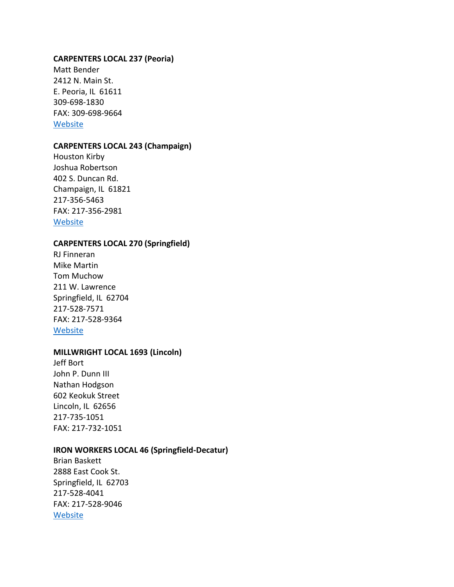#### **CARPENTERS LOCAL 237 (Peoria)**

Matt Bender 2412 N. Main St. E. Peoria, IL 61611 309-698-1830 FAX: 309-698-9664 [Website](http://www.carpenters237.com/)

#### **CARPENTERS LOCAL 243 (Champaign)**

Houston Kirby Joshua Robertson 402 S. Duncan Rd. Champaign, IL 61821 217-356-5463 FAX: 217-356-2981 [Website](http://www.carpenters243.com/)

#### **CARPENTERS LOCAL 270 (Springfield)**

RJ Finneran Mike Martin Tom Muchow 211 W. Lawrence Springfield, IL 62704 217-528-7571 FAX: 217-528-9364 [Website](http://carpenters270.com/)

#### **MILLWRIGHT LOCAL 1693 (Lincoln)**

Jeff Bort John P. Dunn III Nathan Hodgson 602 Keokuk Street Lincoln, IL 62656 217-735-1051 FAX: 217-732-1051

#### **IRON WORKERS LOCAL 46 (Springfield-Decatur)**

Brian Baskett 2888 East Cook St. Springfield, IL 62703 217-528-4041 FAX: 217-528-9046 **[Website](http://www.ironworkers46.org/)**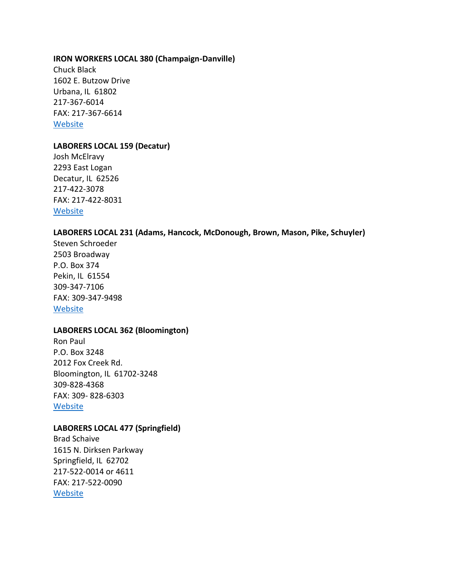#### **IRON WORKERS LOCAL 380 (Champaign-Danville)**

Chuck Black 1602 E. Butzow Drive Urbana, IL 61802 217-367-6014 FAX: 217-367-6614 [Website](http://ironworkers380.org/)

#### **LABORERS LOCAL 159 (Decatur)**

Josh McElravy 2293 East Logan Decatur, IL 62526 217-422-3078 FAX: 217-422-8031 [Website](http://www.central-laborers.com/local_159.html)

# **LABORERS LOCAL 231 (Adams, Hancock, McDonough, Brown, Mason, Pike, Schuyler)**

Steven Schroeder 2503 Broadway P.O. Box 374 Pekin, IL 61554 309-347-7106 FAX: 309-347-9498 [Website](http://laborerslocal231.unionactive.com/)

# **LABORERS LOCAL 362 (Bloomington)**

Ron Paul P.O. Box 3248 2012 Fox Creek Rd. Bloomington, IL 61702-3248 309-828-4368 FAX: 309- 828-6303 [Website](http://www.liunalocal362.org/home)

#### **LABORERS LOCAL 477 (Springfield)**

Brad Schaive 1615 N. Dirksen Parkway Springfield, IL 62702 217-522-0014 or 4611 FAX: 217-522-0090 [Website](http://www.central-laborers.com/local_477.html)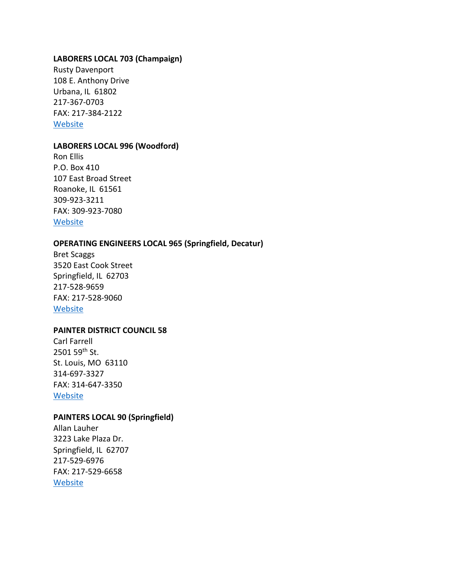#### **LABORERS LOCAL 703 (Champaign)**

Rusty Davenport 108 E. Anthony Drive Urbana, IL 61802 217-367-0703 FAX: 217-384-2122 [Website](https://laborerslocal703.org/)

## **LABORERS LOCAL 996 (Woodford)**

Ron Ellis P.O. Box 410 107 East Broad Street Roanoke, IL 61561 309-923-3211 FAX: 309-923-7080 [Website](http://www.central-laborers.com/local_996.html)

## **OPERATING ENGINEERS LOCAL 965 (Springfield, Decatur)**

Bret Scaggs 3520 East Cook Street Springfield, IL 62703 217-528-9659 FAX: 217-528-9060 **[Website](http://www.iuoe965.org/)** 

# **PAINTER DISTRICT COUNCIL 58**

Carl Farrell 2501 59th St. St. Louis, MO 63110 314-697-3327 FAX: 314-647-3350 **[Website](http://www.dc58iupat.net/index.html)** 

# **PAINTERS LOCAL 90 (Springfield)**

Allan Lauher 3223 Lake Plaza Dr. Springfield, IL 62707 217-529-6976 FAX: 217-529-6658 [Website](http://www.dc58iupat.net/html/springfield.html)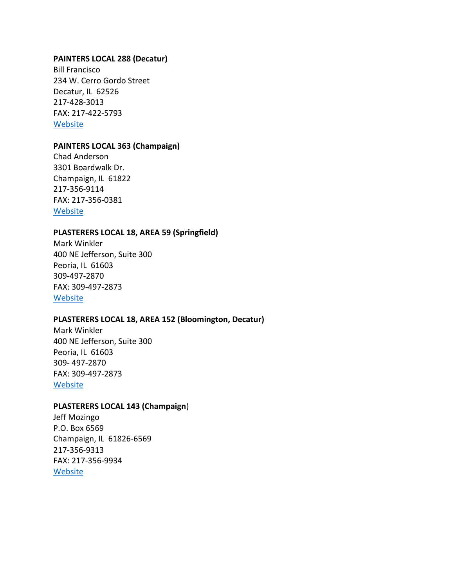## **PAINTERS LOCAL 288 (Decatur)**

Bill Francisco 234 W. Cerro Gordo Street Decatur, IL 62526 217-428-3013 FAX: 217-422-5793 [Website](http://www.dc58iupat.net/html/decatur.html)

## **PAINTERS LOCAL 363 (Champaign)**

Chad Anderson 3301 Boardwalk Dr. Champaign, IL 61822 217-356-9114 FAX: 217-356-0381 **[Website](http://www.dc58iupat.net/html/champaign.html)** 

# **PLASTERERS LOCAL 18, AREA 59 (Springfield)**

Mark Winkler 400 NE Jefferson, Suite 300 Peoria, IL 61603 309-497-2870 FAX: 309-497-2873 [Website](https://www.opcmia.org/us-locals/)

# **PLASTERERS LOCAL 18, AREA 152 (Bloomington, Decatur)**

Mark Winkler 400 NE Jefferson, Suite 300 Peoria, IL 61603 309- 497-2870 FAX: 309-497-2873 [Website](https://www.opcmia.org/?option=com_content&task=view&id=100&Itemid=49)

## **PLASTERERS LOCAL 143 (Champaign**)

Jeff Mozingo P.O. Box 6569 Champaign, IL 61826-6569 217-356-9313 FAX: 217-356-9934 **[Website](https://www.opcmia.org/?option=com_content&task=view&id=100&Itemid=49)**